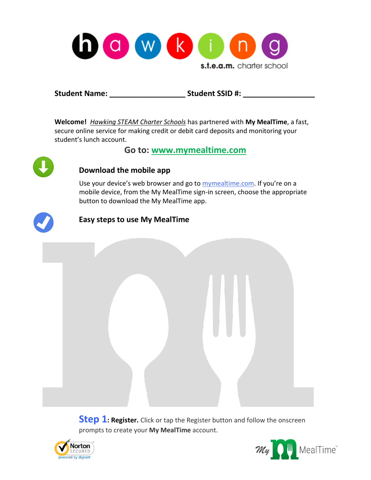

**Student Name: \_\_\_\_\_\_\_\_\_\_\_\_\_\_\_\_\_\_ Student SSID #: \_\_\_\_\_\_\_\_\_\_\_\_\_\_\_\_\_**

**Welcome!** *Hawking STEAM Charter Schools* has partnered with **My MealTime**, a fast, secure online service for making credit or debit card deposits and monitoring your student's lunch account.

**Go to: [www.mymealtime.com](http://www.mymealtime.com/)**



## **Download the mobile app**

Use your device's web browser and go to [mymealtime.com](http://www.mymealtime.com/). If you're on a mobile device, from the My MealTime sign-in screen, choose the appropriate button to download the My MealTime app.



## **Easy steps to use My MealTime**

**Step 1: Register.** Click or tap the Register button and follow the onscreen prompts to create your **My MealTime** account.